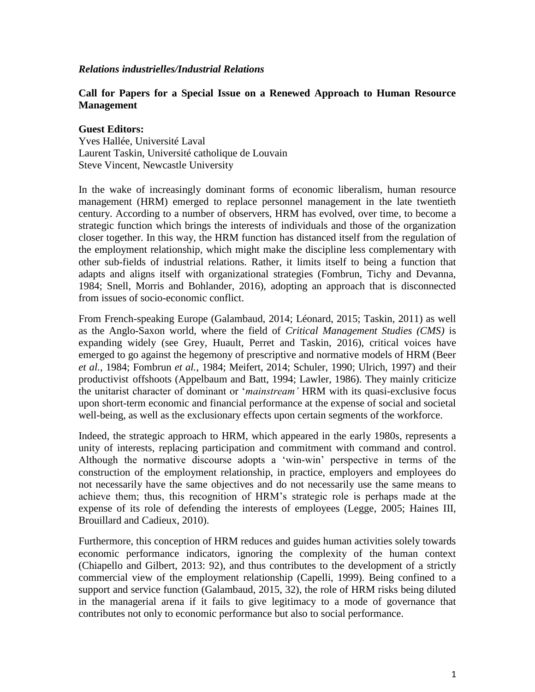#### *Relations industrielles/Industrial Relations*

## **Call for Papers for a Special Issue on a Renewed Approach to Human Resource Management**

#### **Guest Editors:**

Yves Hallée, Université Laval Laurent Taskin, Université catholique de Louvain Steve Vincent, Newcastle University

In the wake of increasingly dominant forms of economic liberalism, human resource management (HRM) emerged to replace personnel management in the late twentieth century. According to a number of observers, HRM has evolved, over time, to become a strategic function which brings the interests of individuals and those of the organization closer together. In this way, the HRM function has distanced itself from the regulation of the employment relationship, which might make the discipline less complementary with other sub-fields of industrial relations. Rather, it limits itself to being a function that adapts and aligns itself with organizational strategies (Fombrun, Tichy and Devanna, 1984; Snell, Morris and Bohlander, 2016), adopting an approach that is disconnected from issues of socio-economic conflict.

From French-speaking Europe (Galambaud, 2014; Léonard, 2015; Taskin, 2011) as well as the Anglo-Saxon world, where the field of *Critical Management Studies (CMS)* is expanding widely (see Grey, Huault, Perret and Taskin, 2016), critical voices have emerged to go against the hegemony of prescriptive and normative models of HRM (Beer *et al.*, 1984; Fombrun *et al.*, 1984; Meifert, 2014; Schuler, 1990; Ulrich, 1997) and their productivist offshoots (Appelbaum and Batt, 1994; Lawler, 1986). They mainly criticize the unitarist character of dominant or '*mainstream'* HRM with its quasi-exclusive focus upon short-term economic and financial performance at the expense of social and societal well-being, as well as the exclusionary effects upon certain segments of the workforce.

Indeed, the strategic approach to HRM, which appeared in the early 1980s, represents a unity of interests, replacing participation and commitment with command and control. Although the normative discourse adopts a 'win-win' perspective in terms of the construction of the employment relationship, in practice, employers and employees do not necessarily have the same objectives and do not necessarily use the same means to achieve them; thus, this recognition of HRM's strategic role is perhaps made at the expense of its role of defending the interests of employees (Legge, 2005; Haines III, Brouillard and Cadieux, 2010).

Furthermore, this conception of HRM reduces and guides human activities solely towards economic performance indicators, ignoring the complexity of the human context (Chiapello and Gilbert, 2013: 92), and thus contributes to the development of a strictly commercial view of the employment relationship (Capelli, 1999). Being confined to a support and service function (Galambaud, 2015, 32), the role of HRM risks being diluted in the managerial arena if it fails to give legitimacy to a mode of governance that contributes not only to economic performance but also to social performance.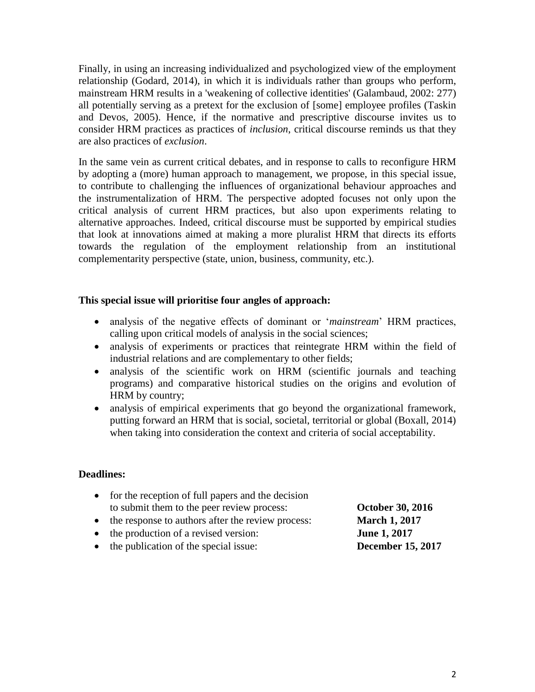Finally, in using an increasing individualized and psychologized view of the employment relationship (Godard, 2014), in which it is individuals rather than groups who perform, mainstream HRM results in a 'weakening of collective identities' (Galambaud, 2002: 277) all potentially serving as a pretext for the exclusion of [some] employee profiles (Taskin and Devos, 2005). Hence, if the normative and prescriptive discourse invites us to consider HRM practices as practices of *inclusion*, critical discourse reminds us that they are also practices of *exclusion*.

In the same vein as current critical debates, and in response to calls to reconfigure HRM by adopting a (more) human approach to management, we propose, in this special issue, to contribute to challenging the influences of organizational behaviour approaches and the instrumentalization of HRM. The perspective adopted focuses not only upon the critical analysis of current HRM practices, but also upon experiments relating to alternative approaches. Indeed, critical discourse must be supported by empirical studies that look at innovations aimed at making a more pluralist HRM that directs its efforts towards the regulation of the employment relationship from an institutional complementarity perspective (state, union, business, community, etc.).

# **This special issue will prioritise four angles of approach:**

- analysis of the negative effects of dominant or '*mainstream*' HRM practices, calling upon critical models of analysis in the social sciences;
- analysis of experiments or practices that reintegrate HRM within the field of industrial relations and are complementary to other fields;
- analysis of the scientific work on HRM (scientific journals and teaching programs) and comparative historical studies on the origins and evolution of HRM by country;
- analysis of empirical experiments that go beyond the organizational framework, putting forward an HRM that is social, societal, territorial or global (Boxall, 2014) when taking into consideration the context and criteria of social acceptability.

## **Deadlines:**

- $\bullet$  for the reception of full papers and the decision to submit them to the peer review process: **October 30, 2016**
- the response to authors after the review process: **March 1, 2017**
- the production of a revised version: **June 1, 2017**
- the publication of the special issue: **December 15, 2017**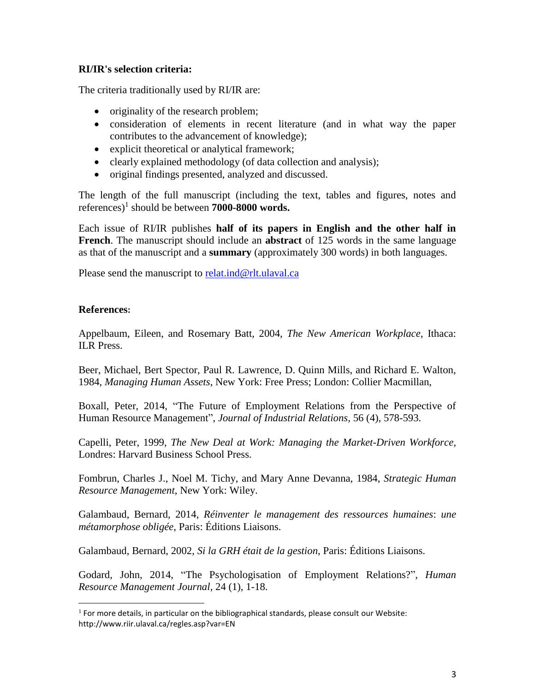# **RI/IR's selection criteria:**

The criteria traditionally used by RI/IR are:

- originality of the research problem;
- consideration of elements in recent literature (and in what way the paper contributes to the advancement of knowledge);
- explicit theoretical or analytical framework;
- clearly explained methodology (of data collection and analysis);
- original findings presented, analyzed and discussed.

The length of the full manuscript (including the text, tables and figures, notes and references)<sup>1</sup> should be between **7000-8000 words.**

Each issue of RI/IR publishes **half of its papers in English and the other half in French**. The manuscript should include an **abstract** of 125 words in the same language as that of the manuscript and a **summary** (approximately 300 words) in both languages.

Please send the manuscript to [relat.ind@rlt.ulaval.ca](mailto:relat.ind@rlt.ulaval.ca)

## **References:**

 $\overline{a}$ 

Appelbaum, Eileen, and Rosemary Batt, 2004, *The New American Workplace*, Ithaca: ILR Press.

Beer, Michael, Bert Spector, Paul R. Lawrence, D. Quinn Mills, and Richard E. Walton, 1984, *Managing Human Assets*, New York: Free Press; London: Collier Macmillan,

Boxall, Peter, 2014, "The Future of Employment Relations from the Perspective of Human Resource Management", *Journal of Industrial Relations,* 56 (4), 578-593.

Capelli, Peter, 1999, *The New Deal at Work: Managing the Market-Driven Workforce,* Londres: Harvard Business School Press.

Fombrun, Charles J., Noel M. Tichy, and Mary Anne Devanna, 1984, *Strategic Human Resource Management*, New York: Wiley.

Galambaud, Bernard, 2014, *Réinventer le management des ressources humaines*: *une métamorphose obligée*, Paris: Éditions Liaisons.

Galambaud, Bernard, 2002, *Si la GRH était de la gestion*, Paris: Éditions Liaisons.

Godard, John, 2014, "The Psychologisation of Employment Relations?", *Human Resource Management Journal*, 24 (1), 1-18.

 $<sup>1</sup>$  For more details, in particular on the bibliographical standards, please consult our Website:</sup> http://www.riir.ulaval.ca/regles.asp?var=EN